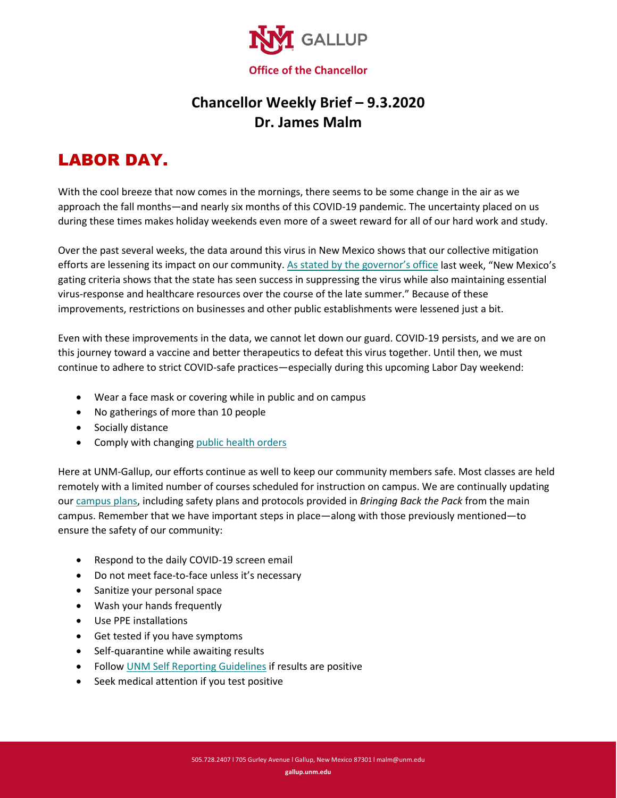

## **Chancellor Weekly Brief – 9.3.2020 Dr. James Malm**

## LABOR DAY.

With the cool breeze that now comes in the mornings, there seems to be some change in the air as we approach the fall months—and nearly six months of this COVID-19 pandemic. The uncertainty placed on us during these times makes holiday weekends even more of a sweet reward for all of our hard work and study.

Over the past several weeks, the data around this virus in New Mexico shows that our collective mitigation efforts are lessening its impact on our community. As [stated by the governor's office](http://www.governor.state.nm.us/2020/08/27/governor-announces-revised-emergency-public-health-order) last week, "New Mexico's gating criteria shows that the state has seen success in suppressing the virus while also maintaining essential virus-response and healthcare resources over the course of the late summer." Because of these improvements, restrictions on businesses and other public establishments were lessened just a bit.

Even with these improvements in the data, we cannot let down our guard. COVID-19 persists, and we are on this journey toward a vaccine and better therapeutics to defeat this virus together. Until then, we must continue to adhere to strict COVID-safe practices—especially during this upcoming Labor Day weekend:

- Wear a face mask or covering while in public and on campus
- No gatherings of more than 10 people
- Socially distance
- Comply with changing [public health orders](https://www.governor.state.nm.us/)

Here at UNM-Gallup, our efforts continue as well to keep our community members safe. Most classes are held remotely with a limited number of courses scheduled for instruction on campus. We are continually updating ou[r campus plans,](https://gallup.unm.edu/safe-return/) including safety plans and protocols provided in *Bringing Back the Pack* from the main campus. Remember that we have important steps in place—along with those previously mentioned—to ensure the safety of our community:

- Respond to the daily COVID-19 screen email
- Do not meet face-to-face unless it's necessary
- Sanitize your personal space
- Wash your hands frequently
- Use PPE installations
- Get tested if you have symptoms
- Self-quarantine while awaiting results
- Follo[w UNM Self Reporting Guidelines](https://hr.unm.edu/docs/hr/eeoc-ada-covid-policy-statement.pdf) if results are positive
- Seek medical attention if you test positive